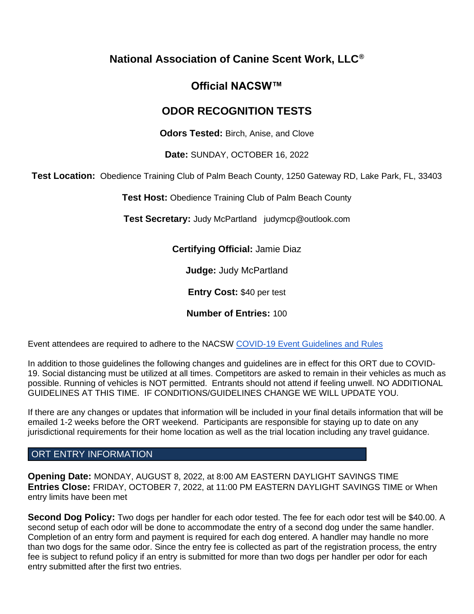# **National Association of Canine Scent Work, LLC®**

# **Official NACSW™**

# **ODOR RECOGNITION TESTS**

**Odors Tested:** Birch, Anise, and Clove

**Date:** SUNDAY, OCTOBER 16, 2022

**Test Location:** Obedience Training Club of Palm Beach County, 1250 Gateway RD, Lake Park, FL, 33403

**Test Host:** Obedience Training Club of Palm Beach County

**Test Secretary:** Judy McPartland judymcp@outlook.com

**Certifying Official:** Jamie Diaz

**Judge:** Judy McPartland

**Entry Cost:** \$40 per test

**Number of Entries:** 100

Event attendees are required to adhere to the NACSW [COVID-19 Event Guidelines and Rules](https://drive.google.com/open?id=1pMMICXeMDJV2iFxAFOuPAMXEBoRmaik0qzSE4tiZuSI)

In addition to those guidelines the following changes and guidelines are in effect for this ORT due to COVID-19. Social distancing must be utilized at all times. Competitors are asked to remain in their vehicles as much as possible. Running of vehicles is NOT permitted. Entrants should not attend if feeling unwell. NO ADDITIONAL GUIDELINES AT THIS TIME. IF CONDITIONS/GUIDELINES CHANGE WE WILL UPDATE YOU.

If there are any changes or updates that information will be included in your final details information that will be emailed 1-2 weeks before the ORT weekend. Participants are responsible for staying up to date on any jurisdictional requirements for their home location as well as the trial location including any travel guidance.

# ORT ENTRY INFORMATION

**Opening Date:** MONDAY, AUGUST 8, 2022, at 8:00 AM EASTERN DAYLIGHT SAVINGS TIME **Entries Close:** FRIDAY, OCTOBER 7, 2022, at 11:00 PM EASTERN DAYLIGHT SAVINGS TIME or When entry limits have been met

**Second Dog Policy:** Two dogs per handler for each odor tested. The fee for each odor test will be \$40.00. A second setup of each odor will be done to accommodate the entry of a second dog under the same handler. Completion of an entry form and payment is required for each dog entered. A handler may handle no more than two dogs for the same odor. Since the entry fee is collected as part of the registration process, the entry fee is subject to refund policy if an entry is submitted for more than two dogs per handler per odor for each entry submitted after the first two entries.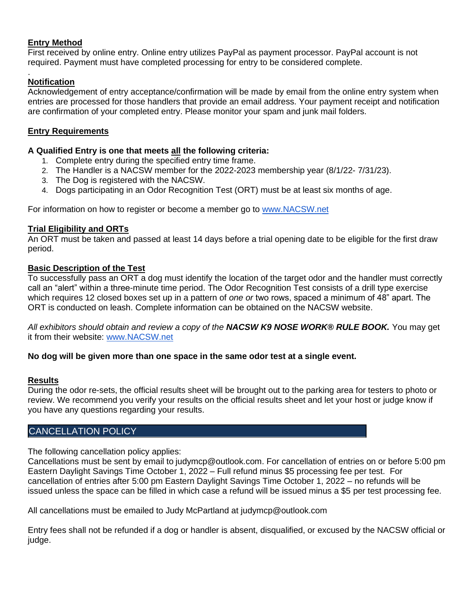# **Entry Method**

First received by online entry. Online entry utilizes PayPal as payment processor. PayPal account is not required. Payment must have completed processing for entry to be considered complete.

#### . **Notification**

Acknowledgement of entry acceptance/confirmation will be made by email from the online entry system when entries are processed for those handlers that provide an email address. Your payment receipt and notification are confirmation of your completed entry. Please monitor your spam and junk mail folders.

# **Entry Requirements**

### **A Qualified Entry is one that meets all the following criteria:**

- 1. Complete entry during the specified entry time frame.
- 2. The Handler is a NACSW member for the 2022-2023 membership year (8/1/22- 7/31/23).
- 3. The Dog is registered with the NACSW.
- 4. Dogs participating in an Odor Recognition Test (ORT) must be at least six months of age.

[For information on how to register or become a member go to](http://www.nacsw.net/) [www.NACSW.net](http://www.nacsw.net/)

### **Trial Eligibility and ORTs**

An ORT must be taken and passed at least 14 days before a trial opening date to be eligible for the first draw period.

### **Basic Description of the Test**

To successfully pass an ORT a dog must identify the location of the target odor and the handler must correctly call an "alert" within a three-minute time period. The Odor Recognition Test consists of a drill type exercise which requires 12 closed boxes set up in a pattern of *one or* two rows, spaced a minimum of 48" apart. The ORT is conducted on leash. Complete information can be obtained on the NACSW website.

*All exhibitors should obtain and review a copy of the NACSW K9 NOSE WORK® RULE BOOK.* You may get it from their website[:](http://www.nacsw.net/) [www.NACSW.net](http://www.nacsw.net/)

### **No dog will be given more than one space in the same odor test at a single event.**

### **Results**

During the odor re-sets, the official results sheet will be brought out to the parking area for testers to photo or review. We recommend you verify your results on the official results sheet and let your host or judge know if you have any questions regarding your results.

# CANCELLATION POLICY

The following cancellation policy applies:

Cancellations must be sent by email to [judymcp@outlook.com.](mailto:judymcp@outlook.com) For cancellation of entries on or before 5:00 pm Eastern Daylight Savings Time October 1, 2022 – Full refund minus \$5 processing fee per test. For cancellation of entries after 5:00 pm Eastern Daylight Savings Time October 1, 2022 – no refunds will be issued unless the space can be filled in which case a refund will be issued minus a \$5 per test processing fee.

All cancellations must be emailed to Judy McPartland at judymcp@outlook.com

Entry fees shall not be refunded if a dog or handler is absent, disqualified, or excused by the NACSW official or judge.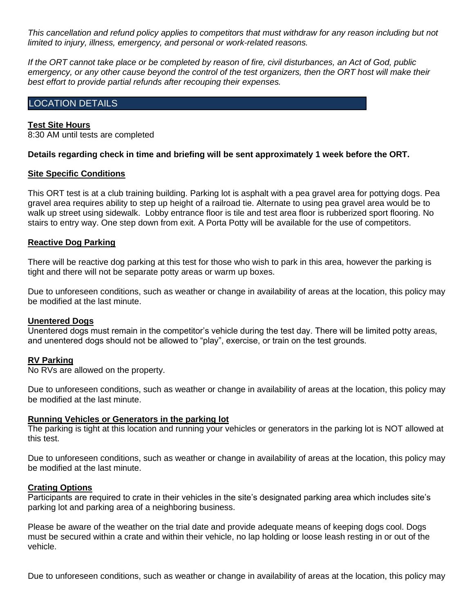*This cancellation and refund policy applies to competitors that must withdraw for any reason including but not limited to injury, illness, emergency, and personal or work-related reasons.*

*If the ORT cannot take place or be completed by reason of fire, civil disturbances, an Act of God, public emergency, or any other cause beyond the control of the test organizers, then the ORT host will make their best effort to provide partial refunds after recouping their expenses.*

### LOCATION DETAILS

#### **Test Site Hours**

8:30 AM until tests are completed

#### **Details regarding check in time and briefing will be sent approximately 1 week before the ORT.**

#### **Site Specific Conditions**

This ORT test is at a club training building. Parking lot is asphalt with a pea gravel area for pottying dogs. Pea gravel area requires ability to step up height of a railroad tie. Alternate to using pea gravel area would be to walk up street using sidewalk. Lobby entrance floor is tile and test area floor is rubberized sport flooring. No stairs to entry way. One step down from exit. A Porta Potty will be available for the use of competitors.

### **Reactive Dog Parking**

There will be reactive dog parking at this test for those who wish to park in this area, however the parking is tight and there will not be separate potty areas or warm up boxes.

Due to unforeseen conditions, such as weather or change in availability of areas at the location, this policy may be modified at the last minute.

#### **Unentered Dogs**

Unentered dogs must remain in the competitor's vehicle during the test day. There will be limited potty areas, and unentered dogs should not be allowed to "play", exercise, or train on the test grounds.

#### **RV Parking**

No RVs are allowed on the property.

Due to unforeseen conditions, such as weather or change in availability of areas at the location, this policy may be modified at the last minute.

#### **Running Vehicles or Generators in the parking lot**

The parking is tight at this location and running your vehicles or generators in the parking lot is NOT allowed at this test.

Due to unforeseen conditions, such as weather or change in availability of areas at the location, this policy may be modified at the last minute.

#### **Crating Options**

Participants are required to crate in their vehicles in the site's designated parking area which includes site's parking lot and parking area of a neighboring business.

Please be aware of the weather on the trial date and provide adequate means of keeping dogs cool. Dogs must be secured within a crate and within their vehicle, no lap holding or loose leash resting in or out of the vehicle.

Due to unforeseen conditions, such as weather or change in availability of areas at the location, this policy may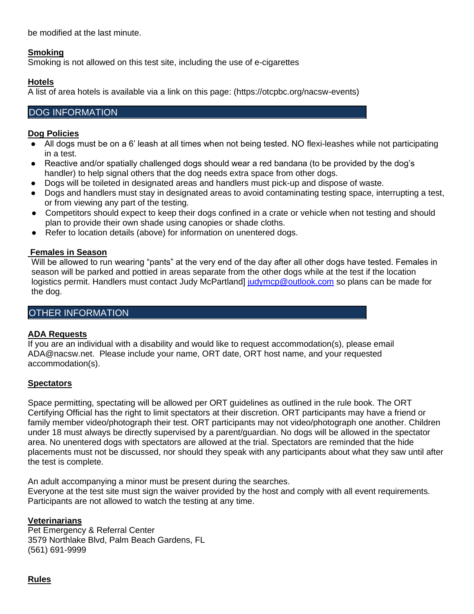be modified at the last minute.

# **Smoking**

Smoking is not allowed on this test site, including the use of e-cigarettes

# **Hotels**

A list of area hotels is available via a link on this page: (https://otcpbc.org/nacsw-events)

# DOG INFORMATION

# **Dog Policies**

- All dogs must be on a 6' leash at all times when not being tested. NO flexi-leashes while not participating in a test.
- Reactive and/or spatially challenged dogs should wear a red bandana (to be provided by the dog's handler) to help signal others that the dog needs extra space from other dogs.
- Dogs will be toileted in designated areas and handlers must pick-up and dispose of waste.
- Dogs and handlers must stay in designated areas to avoid contaminating testing space, interrupting a test, or from viewing any part of the testing.
- Competitors should expect to keep their dogs confined in a crate or vehicle when not testing and should plan to provide their own shade using canopies or shade cloths.
- Refer to location details (above) for information on unentered dogs.

# **Females in Season**

Will be allowed to run wearing "pants" at the very end of the day after all other dogs have tested. Females in season will be parked and pottied in areas separate from the other dogs while at the test if the location logistics permit. Handlers must contact Judy McPartland] [judymcp@outlook.com](mailto:judymcp@outlook.com) so plans can be made for the dog.

# OTHER INFORMATION

# **ADA Requests**

If you are an individual with a disability and would like to request accommodation(s), please email ADA@nacsw.net. Please include your name, ORT date, ORT host name, and your requested accommodation(s).

## **Spectators**

Space permitting, spectating will be allowed per ORT guidelines as outlined in the rule book. The ORT Certifying Official has the right to limit spectators at their discretion. ORT participants may have a friend or family member video/photograph their test. ORT participants may not video/photograph one another. Children under 18 must always be directly supervised by a parent/guardian. No dogs will be allowed in the spectator area. No unentered dogs with spectators are allowed at the trial. Spectators are reminded that the hide placements must not be discussed, nor should they speak with any participants about what they saw until after the test is complete.

An adult accompanying a minor must be present during the searches.

Everyone at the test site must sign the waiver provided by the host and comply with all event requirements. Participants are not allowed to watch the testing at any time.

## **Veterinarians**

Pet Emergency & Referral Center 3579 Northlake Blvd, Palm Beach Gardens, FL (561) 691-9999

**Rules**